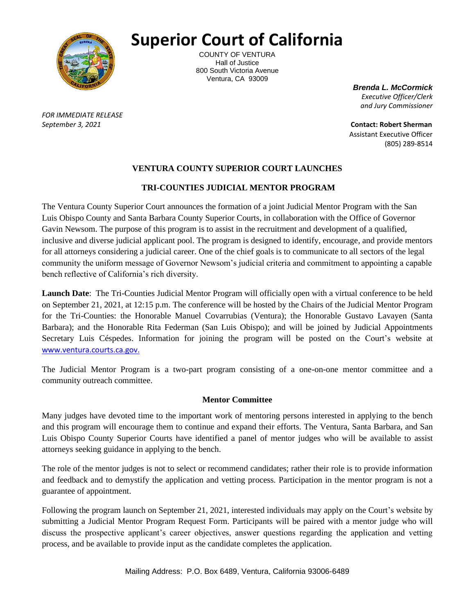

## **Superior Court of California**

COUNTY OF VENTURA Hall of Justice 800 South Victoria Avenue Ventura, CA 93009

*Brenda L. McCormick Executive Officer/Clerk and Jury Commissioner*

*FOR IMMEDIATE RELEASE*

*September 3, 2021* **Contact: Robert Sherman** Assistant Executive Officer (805) 289-8514

## **VENTURA COUNTY SUPERIOR COURT LAUNCHES**

## **TRI-COUNTIES JUDICIAL MENTOR PROGRAM**

The Ventura County Superior Court announces the formation of a joint Judicial Mentor Program with the San Luis Obispo County and Santa Barbara County Superior Courts, in collaboration with the Office of Governor Gavin Newsom. The purpose of this program is to assist in the recruitment and development of a qualified, inclusive and diverse judicial applicant pool. The program is designed to identify, encourage, and provide mentors for all attorneys considering a judicial career. One of the chief goals is to communicate to all sectors of the legal community the uniform message of Governor Newsom's judicial criteria and commitment to appointing a capable bench reflective of California's rich diversity.

**Launch Date**: The Tri-Counties Judicial Mentor Program will officially open with a virtual conference to be held on September 21, 2021, at 12:15 p.m. The conference will be hosted by the Chairs of the Judicial Mentor Program for the Tri-Counties: the Honorable Manuel Covarrubias (Ventura); the Honorable Gustavo Lavayen (Santa Barbara); and the Honorable Rita Federman (San Luis Obispo); and will be joined by Judicial Appointments Secretary Luis Céspedes. Information for joining the program will be posted on the Court's website at www.ventura.courts.ca.gov.

The Judicial Mentor Program is a two-part program consisting of a one-on-one mentor committee and a community outreach committee.

#### **Mentor Committee**

Many judges have devoted time to the important work of mentoring persons interested in applying to the bench and this program will encourage them to continue and expand their efforts. The Ventura, Santa Barbara, and San Luis Obispo County Superior Courts have identified a panel of mentor judges who will be available to assist attorneys seeking guidance in applying to the bench.

The role of the mentor judges is not to select or recommend candidates; rather their role is to provide information and feedback and to demystify the application and vetting process. Participation in the mentor program is not a guarantee of appointment.

Following the program launch on September 21, 2021, interested individuals may apply on the Court's website by submitting a Judicial Mentor Program Request Form. Participants will be paired with a mentor judge who will discuss the prospective applicant's career objectives, answer questions regarding the application and vetting process, and be available to provide input as the candidate completes the application.